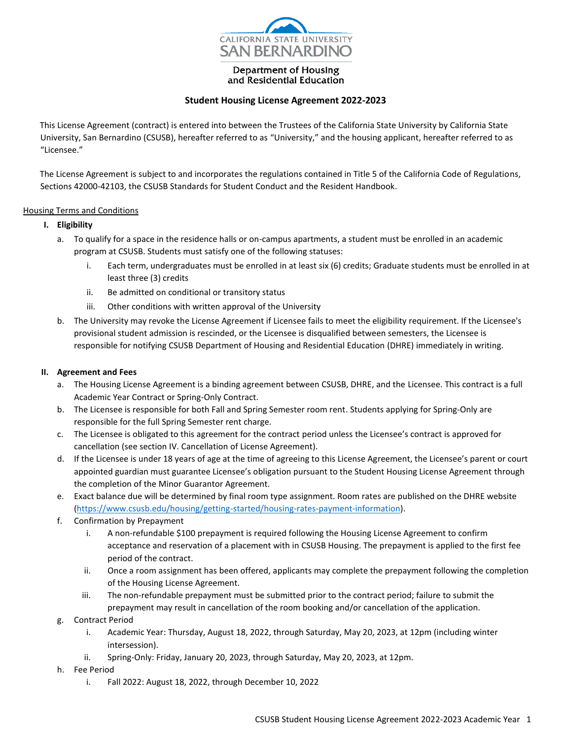

Department of Housing and Residential Education

## **Student Housing License Agreement 2022-2023**

This License Agreement (contract) is entered into between the Trustees of the California State University by California State University, San Bernardino (CSUSB), hereafter referred to as "University," and the housing applicant, hereafter referred to as "Licensee."

The License Agreement is subject to and incorporates the regulations contained in Title 5 of the California Code of Regulations, Sections 42000-42103, the CSUSB Standards for Student Conduct and the Resident Handbook.

### Housing Terms and Conditions

### **I. Eligibility**

- a. To qualify for a space in the residence halls or on-campus apartments, a student must be enrolled in an academic program at CSUSB. Students must satisfy one of the following statuses:
	- i. Each term, undergraduates must be enrolled in at least six (6) credits; Graduate students must be enrolled in at least three (3) credits
	- ii. Be admitted on conditional or transitory status
	- iii. Other conditions with written approval of the University
- b. The University may revoke the License Agreement if Licensee fails to meet the eligibility requirement. If the Licensee's provisional student admission is rescinded, or the Licensee is disqualified between semesters, the Licensee is responsible for notifying CSUSB Department of Housing and Residential Education (DHRE) immediately in writing.

### **II. Agreement and Fees**

- a. The Housing License Agreement is a binding agreement between CSUSB, DHRE, and the Licensee. This contract is a full Academic Year Contract or Spring-Only Contract.
- b. The Licensee is responsible for both Fall and Spring Semester room rent. Students applying for Spring-Only are responsible for the full Spring Semester rent charge.
- c. The Licensee is obligated to this agreement for the contract period unless the Licensee's contract is approved for cancellation (see section IV. Cancellation of License Agreement).
- d. If the Licensee is under 18 years of age at the time of agreeing to this License Agreement, the Licensee's parent or court appointed guardian must guarantee Licensee's obligation pursuant to the Student Housing License Agreement through the completion of the Minor Guarantor Agreement.
- e. Exact balance due will be determined by final room type assignment. Room rates are published on the DHRE website [\(https://www.csusb.edu/housing/getting-started/housing-rates-payment-information\)](https://www.csusb.edu/housing/getting-started/housing-rates-payment-information).
- f. Confirmation by Prepayment
	- i. A non-refundable \$100 prepayment is required following the Housing License Agreement to confirm acceptance and reservation of a placement with in CSUSB Housing. The prepayment is applied to the first fee period of the contract.
	- ii. Once a room assignment has been offered, applicants may complete the prepayment following the completion of the Housing License Agreement.
	- iii. The non-refundable prepayment must be submitted prior to the contract period; failure to submit the prepayment may result in cancellation of the room booking and/or cancellation of the application.
- g. Contract Period
	- i. Academic Year: Thursday, August 18, 2022, through Saturday, May 20, 2023, at 12pm (including winter intersession).
	- ii. Spring-Only: Friday, January 20, 2023, through Saturday, May 20, 2023, at 12pm.
- h. Fee Period
	- i. Fall 2022: August 18, 2022, through December 10, 2022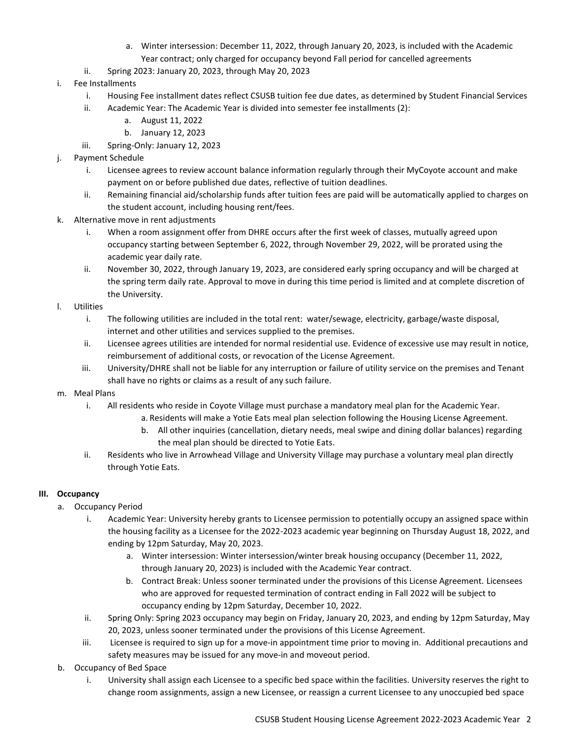- a. Winter intersession: December 11, 2022, through January 20, 2023, is included with the Academic Year contract; only charged for occupancy beyond Fall period for cancelled agreements
- ii. Spring 2023: January 20, 2023, through May 20, 2023
- i. Fee Installments
	- i. Housing Fee installment dates reflect CSUSB tuition fee due dates, as determined by Student Financial Services
	- ii. Academic Year: The Academic Year is divided into semester fee installments (2):
		- a. August 11, 2022
		- b. January 12, 2023
	- iii. Spring-Only: January 12, 2023
- j. Payment Schedule
	- i. Licensee agrees to review account balance information regularly through their MyCoyote account and make payment on or before published due dates, reflective of tuition deadlines.
	- ii. Remaining financial aid/scholarship funds after tuition fees are paid will be automatically applied to charges on the student account, including housing rent/fees.
- k. Alternative move in rent adjustments
	- i. When a room assignment offer from DHRE occurs after the first week of classes, mutually agreed upon occupancy starting between September 6, 2022, through November 29, 2022, will be prorated using the academic year daily rate.
	- ii. November 30, 2022, through January 19, 2023, are considered early spring occupancy and will be charged at the spring term daily rate. Approval to move in during this time period is limited and at complete discretion of the University.
- l. Utilities
	- i. The following utilities are included in the total rent: water/sewage, electricity, garbage/waste disposal, internet and other utilities and services supplied to the premises.
	- ii. Licensee agrees utilities are intended for normal residential use. Evidence of excessive use may result in notice, reimbursement of additional costs, or revocation of the License Agreement.
	- iii. University/DHRE shall not be liable for any interruption or failure of utility service on the premises and Tenant shall have no rights or claims as a result of any such failure.
- m. Meal Plans
	- i. All residents who reside in Coyote Village must purchase a mandatory meal plan for the Academic Year.
		- a. Residents will make a Yotie Eats meal plan selection following the Housing License Agreement.
		- b. All other inquiries (cancellation, dietary needs, meal swipe and dining dollar balances) regarding the meal plan should be directed to Yotie Eats.
	- ii. Residents who live in Arrowhead Village and University Village may purchase a voluntary meal plan directly through Yotie Eats.

# **III. Occupancy**

- a. Occupancy Period
	- i. Academic Year: University hereby grants to Licensee permission to potentially occupy an assigned space within the housing facility as a Licensee for the 2022-2023 academic year beginning on Thursday August 18, 2022, and ending by 12pm Saturday, May 20, 2023.
		- a. Winter intersession: Winter intersession/winter break housing occupancy (December 11, 2022, through January 20, 2023) is included with the Academic Year contract.
		- b. Contract Break: Unless sooner terminated under the provisions of this License Agreement. Licensees who are approved for requested termination of contract ending in Fall 2022 will be subject to occupancy ending by 12pm Saturday, December 10, 2022.
	- ii. Spring Only: Spring 2023 occupancy may begin on Friday, January 20, 2023, and ending by 12pm Saturday, May 20, 2023, unless sooner terminated under the provisions of this License Agreement.
	- iii. Licensee is required to sign up for a move-in appointment time prior to moving in. Additional precautions and safety measures may be issued for any move-in and moveout period.
- b. Occupancy of Bed Space
	- i. University shall assign each Licensee to a specific bed space within the facilities. University reserves the right to change room assignments, assign a new Licensee, or reassign a current Licensee to any unoccupied bed space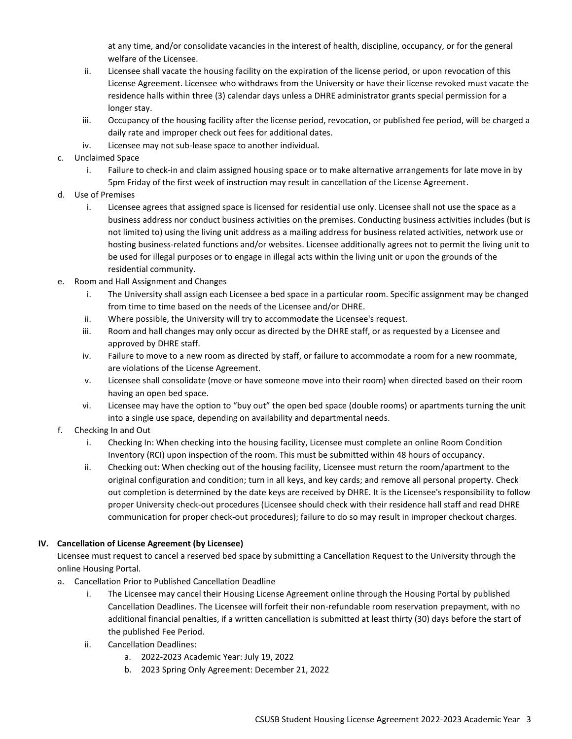at any time, and/or consolidate vacancies in the interest of health, discipline, occupancy, or for the general welfare of the Licensee.

- ii. Licensee shall vacate the housing facility on the expiration of the license period, or upon revocation of this License Agreement. Licensee who withdraws from the University or have their license revoked must vacate the residence halls within three (3) calendar days unless a DHRE administrator grants special permission for a longer stay.
- iii. Occupancy of the housing facility after the license period, revocation, or published fee period, will be charged a daily rate and improper check out fees for additional dates.
- iv. Licensee may not sub-lease space to another individual.
- c. Unclaimed Space
	- i. Failure to check-in and claim assigned housing space or to make alternative arrangements for late move in by 5pm Friday of the first week of instruction may result in cancellation of the License Agreement.
- d. Use of Premises
	- i. Licensee agrees that assigned space is licensed for residential use only. Licensee shall not use the space as a business address nor conduct business activities on the premises. Conducting business activities includes (but is not limited to) using the living unit address as a mailing address for business related activities, network use or hosting business-related functions and/or websites. Licensee additionally agrees not to permit the living unit to be used for illegal purposes or to engage in illegal acts within the living unit or upon the grounds of the residential community.
- e. Room and Hall Assignment and Changes
	- i. The University shall assign each Licensee a bed space in a particular room. Specific assignment may be changed from time to time based on the needs of the Licensee and/or DHRE.
	- ii. Where possible, the University will try to accommodate the Licensee's request.
	- iii. Room and hall changes may only occur as directed by the DHRE staff, or as requested by a Licensee and approved by DHRE staff.
	- iv. Failure to move to a new room as directed by staff, or failure to accommodate a room for a new roommate, are violations of the License Agreement.
	- v. Licensee shall consolidate (move or have someone move into their room) when directed based on their room having an open bed space.
	- vi. Licensee may have the option to "buy out" the open bed space (double rooms) or apartments turning the unit into a single use space, depending on availability and departmental needs.
- f. Checking In and Out
	- i. Checking In: When checking into the housing facility, Licensee must complete an online Room Condition Inventory (RCI) upon inspection of the room. This must be submitted within 48 hours of occupancy.
	- ii. Checking out: When checking out of the housing facility, Licensee must return the room/apartment to the original configuration and condition; turn in all keys, and key cards; and remove all personal property. Check out completion is determined by the date keys are received by DHRE. It is the Licensee's responsibility to follow proper University check-out procedures (Licensee should check with their residence hall staff and read DHRE communication for proper check-out procedures); failure to do so may result in improper checkout charges.

## **IV. Cancellation of License Agreement (by Licensee)**

Licensee must request to cancel a reserved bed space by submitting a Cancellation Request to the University through the online Housing Portal.

- a. Cancellation Prior to Published Cancellation Deadline
	- i. The Licensee may cancel their Housing License Agreement online through the Housing Portal by published Cancellation Deadlines. The Licensee will forfeit their non-refundable room reservation prepayment, with no additional financial penalties, if a written cancellation is submitted at least thirty (30) days before the start of the published Fee Period.
	- ii. Cancellation Deadlines:
		- a. 2022-2023 Academic Year: July 19, 2022
		- b. 2023 Spring Only Agreement: December 21, 2022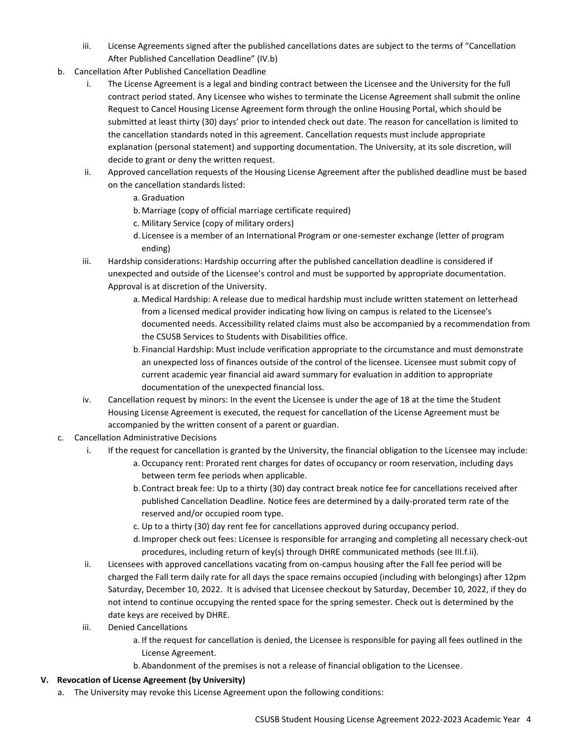- iii. License Agreements signed after the published cancellations dates are subject to the terms of "Cancellation After Published Cancellation Deadline" (IV.b)
- b. Cancellation After Published Cancellation Deadline
	- i. The License Agreement is a legal and binding contract between the Licensee and the University for the full contract period stated. Any Licensee who wishes to terminate the License Agreement shall submit the online Request to Cancel Housing License Agreement form through the online Housing Portal, which should be submitted at least thirty (30) days' prior to intended check out date. The reason for cancellation is limited to the cancellation standards noted in this agreement. Cancellation requests must include appropriate explanation (personal statement) and supporting documentation. The University, at its sole discretion, will decide to grant or deny the written request.
	- ii. Approved cancellation requests of the Housing License Agreement after the published deadline must be based on the cancellation standards listed:
		- a. Graduation
		- b.Marriage (copy of official marriage certificate required)
		- c. Military Service (copy of military orders)
		- d. Licensee is a member of an International Program or one-semester exchange (letter of program ending)
	- iii. Hardship considerations: Hardship occurring after the published cancellation deadline is considered if unexpected and outside of the Licensee's control and must be supported by appropriate documentation. Approval is at discretion of the University.
		- a. Medical Hardship: A release due to medical hardship must include written statement on letterhead from a licensed medical provider indicating how living on campus is related to the Licensee's documented needs. Accessibility related claims must also be accompanied by a recommendation from the CSUSB Services to Students with Disabilities office.
		- b. Financial Hardship: Must include verification appropriate to the circumstance and must demonstrate an unexpected loss of finances outside of the control of the licensee. Licensee must submit copy of current academic year financial aid award summary for evaluation in addition to appropriate documentation of the unexpected financial loss.
	- iv. Cancellation request by minors: In the event the Licensee is under the age of 18 at the time the Student Housing License Agreement is executed, the request for cancellation of the License Agreement must be accompanied by the written consent of a parent or guardian.
- c. Cancellation Administrative Decisions
	- i. If the request for cancellation is granted by the University, the financial obligation to the Licensee may include:
		- a. Occupancy rent: Prorated rent charges for dates of occupancy or room reservation, including days between term fee periods when applicable.
		- b.Contract break fee: Up to a thirty (30) day contract break notice fee for cancellations received after published Cancellation Deadline. Notice fees are determined by a daily-prorated term rate of the reserved and/or occupied room type.
		- c. Up to a thirty (30) day rent fee for cancellations approved during occupancy period.
		- d.Improper check out fees: Licensee is responsible for arranging and completing all necessary check-out procedures, including return of key(s) through DHRE communicated methods (see III.f.ii).
	- ii. Licensees with approved cancellations vacating from on-campus housing after the Fall fee period will be charged the Fall term daily rate for all days the space remains occupied (including with belongings) after 12pm Saturday, December 10, 2022. It is advised that Licensee checkout by Saturday, December 10, 2022, if they do not intend to continue occupying the rented space for the spring semester. Check out is determined by the date keys are received by DHRE.
	- iii. Denied Cancellations
		- a. If the request for cancellation is denied, the Licensee is responsible for paying all fees outlined in the License Agreement.
		- b.Abandonment of the premises is not a release of financial obligation to the Licensee.

# **V. Revocation of License Agreement (by University)**

a. The University may revoke this License Agreement upon the following conditions: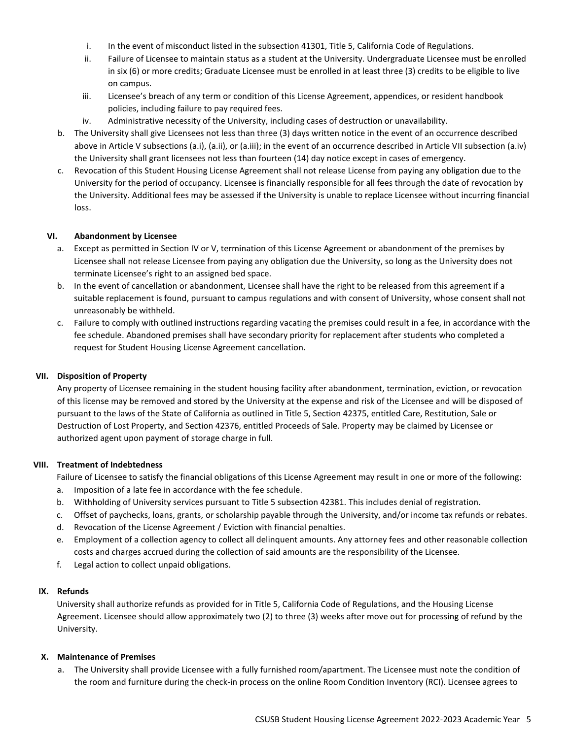- i. In the event of misconduct listed in the subsection 41301, Title 5, California Code of Regulations.
- ii. Failure of Licensee to maintain status as a student at the University. Undergraduate Licensee must be enrolled in six (6) or more credits; Graduate Licensee must be enrolled in at least three (3) credits to be eligible to live on campus.
- iii. Licensee's breach of any term or condition of this License Agreement, appendices, or resident handbook policies, including failure to pay required fees.
- iv. Administrative necessity of the University, including cases of destruction or unavailability.
- b. The University shall give Licensees not less than three (3) days written notice in the event of an occurrence described above in Article V subsections (a.i), (a.ii), or (a.iii); in the event of an occurrence described in Article VII subsection (a.iv) the University shall grant licensees not less than fourteen (14) day notice except in cases of emergency.
- c. Revocation of this Student Housing License Agreement shall not release License from paying any obligation due to the University for the period of occupancy. Licensee is financially responsible for all fees through the date of revocation by the University. Additional fees may be assessed if the University is unable to replace Licensee without incurring financial loss.

## **VI. Abandonment by Licensee**

- a. Except as permitted in Section IV or V, termination of this License Agreement or abandonment of the premises by Licensee shall not release Licensee from paying any obligation due the University, so long as the University does not terminate Licensee's right to an assigned bed space.
- b. In the event of cancellation or abandonment, Licensee shall have the right to be released from this agreement if a suitable replacement is found, pursuant to campus regulations and with consent of University, whose consent shall not unreasonably be withheld.
- c. Failure to comply with outlined instructions regarding vacating the premises could result in a fee, in accordance with the fee schedule. Abandoned premises shall have secondary priority for replacement after students who completed a request for Student Housing License Agreement cancellation.

## **VII. Disposition of Property**

Any property of Licensee remaining in the student housing facility after abandonment, termination, eviction, or revocation of this license may be removed and stored by the University at the expense and risk of the Licensee and will be disposed of pursuant to the laws of the State of California as outlined in Title 5, Section 42375, entitled Care, Restitution, Sale or Destruction of Lost Property, and Section 42376, entitled Proceeds of Sale. Property may be claimed by Licensee or authorized agent upon payment of storage charge in full.

## **VIII. Treatment of Indebtedness**

Failure of Licensee to satisfy the financial obligations of this License Agreement may result in one or more of the following: a. Imposition of a late fee in accordance with the fee schedule.

- b. Withholding of University services pursuant to Title 5 subsection 42381. This includes denial of registration.
- c. Offset of paychecks, loans, grants, or scholarship payable through the University, and/or income tax refunds or rebates.
- d. Revocation of the License Agreement / Eviction with financial penalties.
- e. Employment of a collection agency to collect all delinquent amounts. Any attorney fees and other reasonable collection costs and charges accrued during the collection of said amounts are the responsibility of the Licensee.
- f. Legal action to collect unpaid obligations.

## **IX. Refunds**

University shall authorize refunds as provided for in Title 5, California Code of Regulations, and the Housing License Agreement. Licensee should allow approximately two (2) to three (3) weeks after move out for processing of refund by the University.

## **X. Maintenance of Premises**

a. The University shall provide Licensee with a fully furnished room/apartment. The Licensee must note the condition of the room and furniture during the check-in process on the online Room Condition Inventory (RCI). Licensee agrees to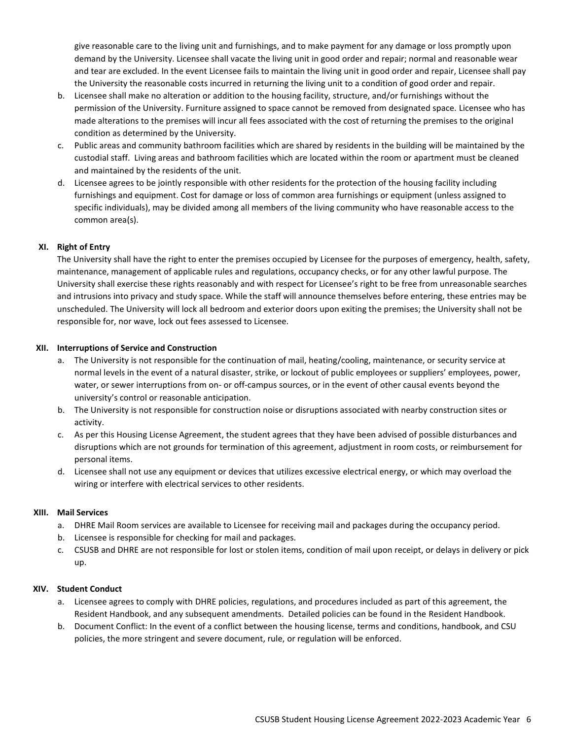give reasonable care to the living unit and furnishings, and to make payment for any damage or loss promptly upon demand by the University. Licensee shall vacate the living unit in good order and repair; normal and reasonable wear and tear are excluded. In the event Licensee fails to maintain the living unit in good order and repair, Licensee shall pay the University the reasonable costs incurred in returning the living unit to a condition of good order and repair.

- b. Licensee shall make no alteration or addition to the housing facility, structure, and/or furnishings without the permission of the University. Furniture assigned to space cannot be removed from designated space. Licensee who has made alterations to the premises will incur all fees associated with the cost of returning the premises to the original condition as determined by the University.
- c. Public areas and community bathroom facilities which are shared by residents in the building will be maintained by the custodial staff. Living areas and bathroom facilities which are located within the room or apartment must be cleaned and maintained by the residents of the unit.
- d. Licensee agrees to be jointly responsible with other residents for the protection of the housing facility including furnishings and equipment. Cost for damage or loss of common area furnishings or equipment (unless assigned to specific individuals), may be divided among all members of the living community who have reasonable access to the common area(s).

# **XI. Right of Entry**

The University shall have the right to enter the premises occupied by Licensee for the purposes of emergency, health, safety, maintenance, management of applicable rules and regulations, occupancy checks, or for any other lawful purpose. The University shall exercise these rights reasonably and with respect for Licensee's right to be free from unreasonable searches and intrusions into privacy and study space. While the staff will announce themselves before entering, these entries may be unscheduled. The University will lock all bedroom and exterior doors upon exiting the premises; the University shall not be responsible for, nor wave, lock out fees assessed to Licensee.

### **XII. Interruptions of Service and Construction**

- a. The University is not responsible for the continuation of mail, heating/cooling, maintenance, or security service at normal levels in the event of a natural disaster, strike, or lockout of public employees or suppliers' employees, power, water, or sewer interruptions from on- or off-campus sources, or in the event of other causal events beyond the university's control or reasonable anticipation.
- b. The University is not responsible for construction noise or disruptions associated with nearby construction sites or activity.
- c. As per this Housing License Agreement, the student agrees that they have been advised of possible disturbances and disruptions which are not grounds for termination of this agreement, adjustment in room costs, or reimbursement for personal items.
- d. Licensee shall not use any equipment or devices that utilizes excessive electrical energy, or which may overload the wiring or interfere with electrical services to other residents.

### **XIII. Mail Services**

- a. DHRE Mail Room services are available to Licensee for receiving mail and packages during the occupancy period.
- b. Licensee is responsible for checking for mail and packages.
- c. CSUSB and DHRE are not responsible for lost or stolen items, condition of mail upon receipt, or delays in delivery or pick up.

#### **XIV. Student Conduct**

- a. Licensee agrees to comply with DHRE policies, regulations, and procedures included as part of this agreement, the Resident Handbook, and any subsequent amendments. Detailed policies can be found in the Resident Handbook.
- b. Document Conflict: In the event of a conflict between the housing license, terms and conditions, handbook, and CSU policies, the more stringent and severe document, rule, or regulation will be enforced.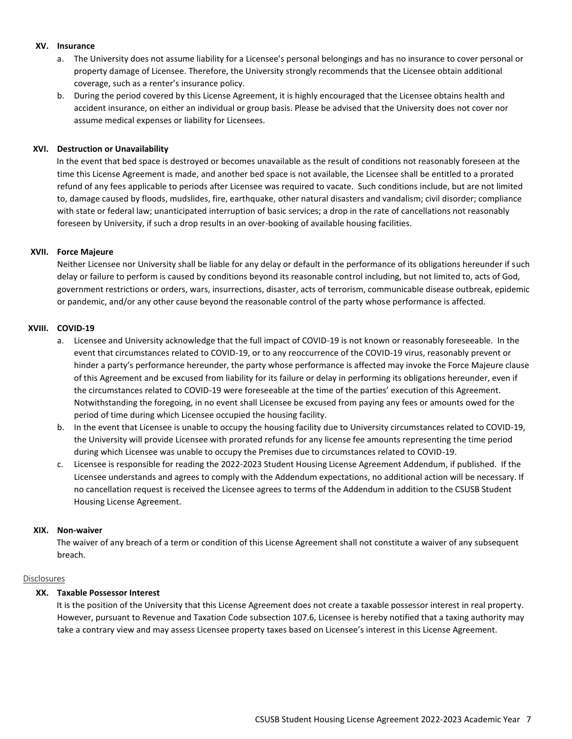#### **XV. Insurance**

- a. The University does not assume liability for a Licensee's personal belongings and has no insurance to cover personal or property damage of Licensee. Therefore, the University strongly recommends that the Licensee obtain additional coverage, such as a renter's insurance policy.
- b. During the period covered by this License Agreement, it is highly encouraged that the Licensee obtains health and accident insurance, on either an individual or group basis. Please be advised that the University does not cover nor assume medical expenses or liability for Licensees.

#### **XVI. Destruction or Unavailability**

In the event that bed space is destroyed or becomes unavailable as the result of conditions not reasonably foreseen at the time this License Agreement is made, and another bed space is not available, the Licensee shall be entitled to a prorated refund of any fees applicable to periods after Licensee was required to vacate. Such conditions include, but are not limited to, damage caused by floods, mudslides, fire, earthquake, other natural disasters and vandalism; civil disorder; compliance with state or federal law; unanticipated interruption of basic services; a drop in the rate of cancellations not reasonably foreseen by University, if such a drop results in an over-booking of available housing facilities.

### **XVII. Force Majeure**

Neither Licensee nor University shall be liable for any delay or default in the performance of its obligations hereunder if such delay or failure to perform is caused by conditions beyond its reasonable control including, but not limited to, acts of God, government restrictions or orders, wars, insurrections, disaster, acts of terrorism, communicable disease outbreak, epidemic or pandemic, and/or any other cause beyond the reasonable control of the party whose performance is affected.

### **XVIII. COVID-19**

- a. Licensee and University acknowledge that the full impact of COVID-19 is not known or reasonably foreseeable. In the event that circumstances related to COVID-19, or to any reoccurrence of the COVID-19 virus, reasonably prevent or hinder a party's performance hereunder, the party whose performance is affected may invoke the Force Majeure clause of this Agreement and be excused from liability for its failure or delay in performing its obligations hereunder, even if the circumstances related to COVID-19 were foreseeable at the time of the parties' execution of this Agreement. Notwithstanding the foregoing, in no event shall Licensee be excused from paying any fees or amounts owed for the period of time during which Licensee occupied the housing facility.
- b. In the event that Licensee is unable to occupy the housing facility due to University circumstances related to COVID-19, the University will provide Licensee with prorated refunds for any license fee amounts representing the time period during which Licensee was unable to occupy the Premises due to circumstances related to COVID-19.
- c. Licensee is responsible for reading the 2022-2023 Student Housing License Agreement Addendum, if published. If the Licensee understands and agrees to comply with the Addendum expectations, no additional action will be necessary. If no cancellation request is received the Licensee agrees to terms of the Addendum in addition to the CSUSB Student Housing License Agreement.

#### **XIX. Non-waiver**

The waiver of any breach of a term or condition of this License Agreement shall not constitute a waiver of any subsequent breach.

#### Disclosures

## **XX. Taxable Possessor Interest**

It is the position of the University that this License Agreement does not create a taxable possessor interest in real property. However, pursuant to Revenue and Taxation Code subsection 107.6, Licensee is hereby notified that a taxing authority may take a contrary view and may assess Licensee property taxes based on Licensee's interest in this License Agreement.